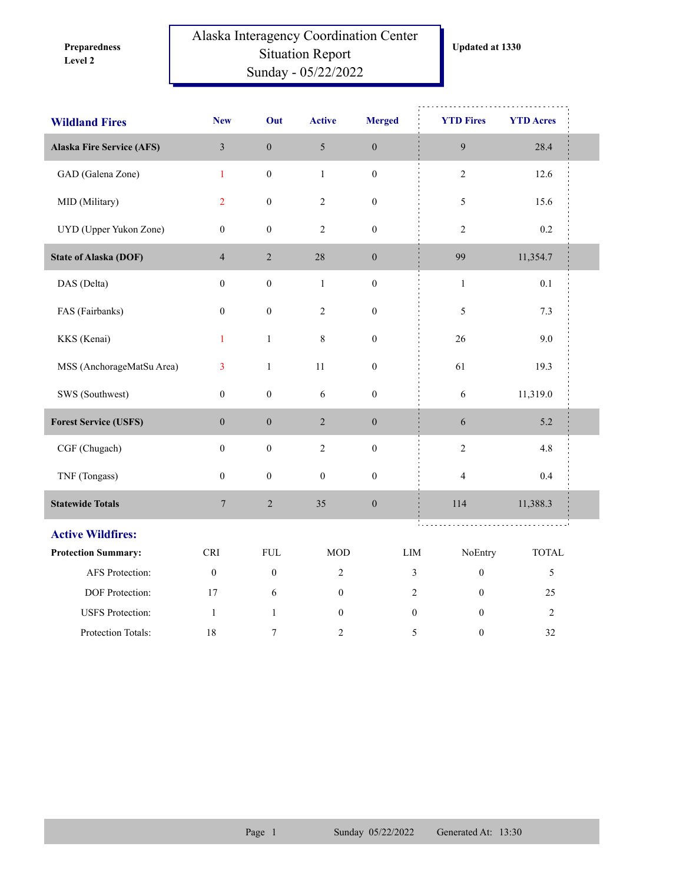**Level 2 Preparedness** 

## Alaska Interagency Coordination Center Situation Report Sunday - 05/22/2022

| <b>Wildland Fires</b>            | <b>New</b>                  | Out              | <b>Active</b>    | <b>Merged</b>    |                | <b>YTD Fires</b>        | <b>YTD Acres</b> |  |
|----------------------------------|-----------------------------|------------------|------------------|------------------|----------------|-------------------------|------------------|--|
| <b>Alaska Fire Service (AFS)</b> | $\mathfrak{Z}$              | $\boldsymbol{0}$ | 5                | $\boldsymbol{0}$ |                | 9                       | 28.4             |  |
| GAD (Galena Zone)                | $\mathbf{1}$                | $\boldsymbol{0}$ | $\mathbf{1}$     | $\boldsymbol{0}$ |                | $\overline{c}$          | 12.6             |  |
| MID (Military)                   | $\overline{2}$              | $\boldsymbol{0}$ | $\overline{c}$   | $\boldsymbol{0}$ |                | 5                       | 15.6             |  |
| UYD (Upper Yukon Zone)           | $\boldsymbol{0}$            | $\boldsymbol{0}$ | $\overline{c}$   | $\boldsymbol{0}$ |                | $\overline{c}$          | 0.2              |  |
| <b>State of Alaska (DOF)</b>     | $\overline{4}$              | $\overline{c}$   | 28               | $\boldsymbol{0}$ |                | 99                      | 11,354.7         |  |
| DAS (Delta)                      | $\mathbf{0}$                | $\boldsymbol{0}$ | $\,1$            | $\boldsymbol{0}$ |                | $\,1\,$                 | 0.1              |  |
| FAS (Fairbanks)                  | $\boldsymbol{0}$            | $\boldsymbol{0}$ | $\sqrt{2}$       | $\boldsymbol{0}$ |                | 5                       | 7.3              |  |
| KKS (Kenai)                      | $\mathbf{1}$                | $\mathbf{1}$     | 8                | $\boldsymbol{0}$ |                | 26                      | 9.0              |  |
| MSS (AnchorageMatSu Area)        | $\overline{3}$              | $\mathbf{1}$     | 11               | $\boldsymbol{0}$ |                | 61                      | 19.3             |  |
| SWS (Southwest)                  | $\boldsymbol{0}$            | $\boldsymbol{0}$ | 6                | $\boldsymbol{0}$ |                | 6                       | 11,319.0         |  |
| <b>Forest Service (USFS)</b>     | $\boldsymbol{0}$            | $\boldsymbol{0}$ | $\overline{2}$   | $\boldsymbol{0}$ |                | 6                       | 5.2              |  |
| CGF (Chugach)                    | $\mathbf{0}$                | $\boldsymbol{0}$ | $\overline{c}$   | $\boldsymbol{0}$ |                | $\overline{c}$          | $4.8\,$          |  |
| TNF (Tongass)                    | $\boldsymbol{0}$            | $\boldsymbol{0}$ | $\boldsymbol{0}$ | $\boldsymbol{0}$ |                | $\overline{\mathbf{4}}$ | $0.4\,$          |  |
| <b>Statewide Totals</b>          | $\boldsymbol{7}$            | $\sqrt{2}$       | 35               | $\boldsymbol{0}$ |                | 114                     | 11,388.3         |  |
| <b>Active Wildfires:</b>         |                             |                  |                  |                  |                |                         |                  |  |
| <b>Protection Summary:</b>       | $\ensuremath{\mathsf{CRI}}$ | <b>FUL</b>       | <b>MOD</b>       |                  | LIM            | NoEntry                 | <b>TOTAL</b>     |  |
| AFS Protection:                  | $\boldsymbol{0}$            | $\boldsymbol{0}$ | $\overline{c}$   |                  | $\mathfrak{Z}$ | $\boldsymbol{0}$        | 5                |  |
| DOF Protection:                  | 17                          | 6                | $\mathbf{0}$     |                  | $\overline{2}$ | $\mathbf{0}$            | 25               |  |
| <b>USFS</b> Protection:          | $\mathbf{1}$                | $\mathbf{1}$     | $\mathbf{0}$     |                  | $\mathbf{0}$   | $\theta$                | $\sqrt{2}$       |  |
| Protection Totals:               | 18                          | 7                | 2                |                  | 5              | $\boldsymbol{0}$        | 32               |  |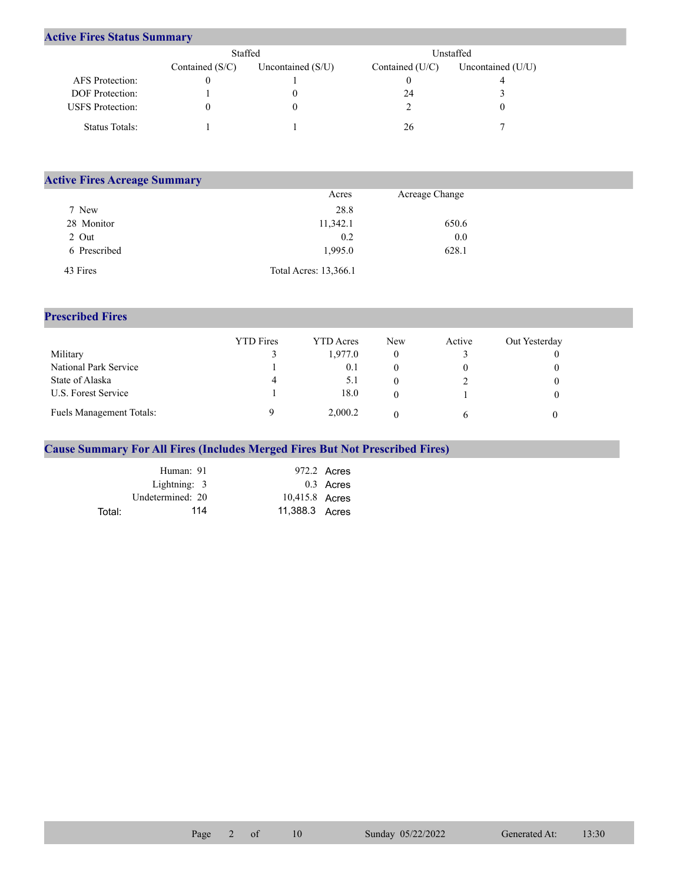## **Active Fires Status Summary**

|                         | Staffed           |                     |                 | Unstaffed           |
|-------------------------|-------------------|---------------------|-----------------|---------------------|
|                         | Contained $(S/C)$ | Uncontained $(S/U)$ | Contained (U/C) | Uncontained $(U/U)$ |
| AFS Protection:         |                   |                     |                 |                     |
| <b>DOF</b> Protection:  |                   |                     | 24              |                     |
| <b>USFS</b> Protection: |                   |                     |                 |                     |
| Status Totals:          |                   |                     | 26              |                     |

| <b>Active Fires Acreage Summary</b> |                       |                |  |  |  |  |  |  |  |
|-------------------------------------|-----------------------|----------------|--|--|--|--|--|--|--|
|                                     | Acres                 | Acreage Change |  |  |  |  |  |  |  |
| 7 New                               | 28.8                  |                |  |  |  |  |  |  |  |
| 28 Monitor                          | 11,342.1              | 650.6          |  |  |  |  |  |  |  |
| 2 Out                               | 0.2                   | 0.0            |  |  |  |  |  |  |  |
| 6 Prescribed                        | 1.995.0               | 628.1          |  |  |  |  |  |  |  |
| 43 Fires                            | Total Acres: 13,366.1 |                |  |  |  |  |  |  |  |

## **Prescribed Fires**

|                          | <b>YTD</b> Fires | <b>YTD</b> Acres | <b>New</b> | Active | Out Yesterday |
|--------------------------|------------------|------------------|------------|--------|---------------|
| Military                 |                  | 1.977.0          |            |        |               |
| National Park Service    |                  | 0.1              |            |        |               |
| State of Alaska          | 4                | 5.1              |            |        |               |
| U.S. Forest Service      |                  | 18.0             |            |        |               |
| Fuels Management Totals: |                  | 2,000.2          |            |        |               |

## **Cause Summary For All Fires (Includes Merged Fires But Not Prescribed Fires)**

|        | Human: 91        |                | 972.2 Acres |
|--------|------------------|----------------|-------------|
|        | Lightning: $3$   |                | $0.3$ Acres |
|        | Undetermined: 20 | 10,415.8 Acres |             |
| Total: | 114              | 11,388.3 Acres |             |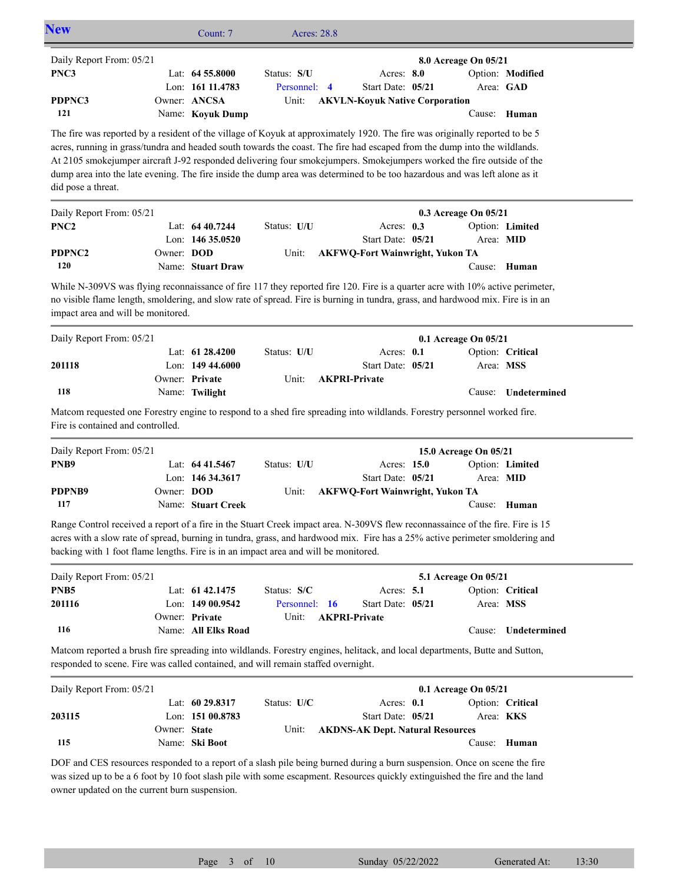| <b>New</b>                                                                                                                                                                                                                                                                                                                                                                                                                                                                                                                            |              | Count: 7                                             | <b>Acres: 28.8</b>    |                                                            |                       |                           |
|---------------------------------------------------------------------------------------------------------------------------------------------------------------------------------------------------------------------------------------------------------------------------------------------------------------------------------------------------------------------------------------------------------------------------------------------------------------------------------------------------------------------------------------|--------------|------------------------------------------------------|-----------------------|------------------------------------------------------------|-----------------------|---------------------------|
| Daily Report From: 05/21                                                                                                                                                                                                                                                                                                                                                                                                                                                                                                              |              |                                                      |                       |                                                            | 8.0 Acreage On 05/21  |                           |
| PNC3                                                                                                                                                                                                                                                                                                                                                                                                                                                                                                                                  |              | Lat: 64 55.8000                                      | Status: S/U           | Acres: 8.0                                                 |                       | Option: Modified          |
| PDPNC3<br>121                                                                                                                                                                                                                                                                                                                                                                                                                                                                                                                         |              | Lon: 161 11.4783<br>Owner: ANCSA<br>Name: Koyuk Dump | Personnel: 4<br>Unit: | Start Date: 05/21<br><b>AKVLN-Koyuk Native Corporation</b> |                       | Area: GAD<br>Cause: Human |
| The fire was reported by a resident of the village of Koyuk at approximately 1920. The fire was originally reported to be 5<br>acres, running in grass/tundra and headed south towards the coast. The fire had escaped from the dump into the wildlands.<br>At 2105 smokejumper aircraft J-92 responded delivering four smokejumpers. Smokejumpers worked the fire outside of the<br>dump area into the late evening. The fire inside the dump area was determined to be too hazardous and was left alone as it<br>did pose a threat. |              |                                                      |                       |                                                            |                       |                           |
| Daily Report From: 05/21                                                                                                                                                                                                                                                                                                                                                                                                                                                                                                              |              |                                                      |                       |                                                            | 0.3 Acreage On 05/21  |                           |
| PNC <sub>2</sub>                                                                                                                                                                                                                                                                                                                                                                                                                                                                                                                      |              | Lat: $6440.7244$                                     | Status: U/U           | Acres: 0.3                                                 |                       | Option: Limited           |
|                                                                                                                                                                                                                                                                                                                                                                                                                                                                                                                                       |              | Lon: 146 35.0520                                     |                       | Start Date: 05/21                                          | Area: MID             |                           |
| PDPNC2                                                                                                                                                                                                                                                                                                                                                                                                                                                                                                                                | Owner: DOD   |                                                      | Unit:                 | <b>AKFWQ-Fort Wainwright, Yukon TA</b>                     |                       |                           |
| 120                                                                                                                                                                                                                                                                                                                                                                                                                                                                                                                                   |              | Name: Stuart Draw                                    |                       |                                                            |                       | Cause: Human              |
| While N-309VS was flying reconnaissance of fire 117 they reported fire 120. Fire is a quarter acre with 10% active perimeter,<br>no visible flame length, smoldering, and slow rate of spread. Fire is burning in tundra, grass, and hardwood mix. Fire is in an<br>impact area and will be monitored.                                                                                                                                                                                                                                |              |                                                      |                       |                                                            |                       |                           |
| Daily Report From: 05/21                                                                                                                                                                                                                                                                                                                                                                                                                                                                                                              |              |                                                      |                       |                                                            | 0.1 Acreage On 05/21  |                           |
|                                                                                                                                                                                                                                                                                                                                                                                                                                                                                                                                       |              | Lat: 61 28.4200                                      | Status: U/U           | Acres: $0.1$                                               |                       | Option: Critical          |
| 201118                                                                                                                                                                                                                                                                                                                                                                                                                                                                                                                                |              | Lon: $14944.6000$                                    |                       | Start Date: 05/21                                          | Area: MSS             |                           |
|                                                                                                                                                                                                                                                                                                                                                                                                                                                                                                                                       |              | Owner: Private                                       | Unit:                 | <b>AKPRI-Private</b>                                       |                       |                           |
| 118                                                                                                                                                                                                                                                                                                                                                                                                                                                                                                                                   |              | Name: Twilight                                       |                       |                                                            | Cause:                | Undetermined              |
| Matcom requested one Forestry engine to respond to a shed fire spreading into wildlands. Forestry personnel worked fire.<br>Fire is contained and controlled.                                                                                                                                                                                                                                                                                                                                                                         |              |                                                      |                       |                                                            |                       |                           |
| Daily Report From: 05/21                                                                                                                                                                                                                                                                                                                                                                                                                                                                                                              |              |                                                      |                       |                                                            | 15.0 Acreage On 05/21 |                           |
| PNB9                                                                                                                                                                                                                                                                                                                                                                                                                                                                                                                                  |              | Lat: 64 41.5467                                      | Status: U/U           | Acres: 15.0                                                |                       | Option: Limited           |
|                                                                                                                                                                                                                                                                                                                                                                                                                                                                                                                                       |              | Lon: 146 34.3617                                     |                       | Start Date: 05/21                                          | Area: MID             |                           |
| PDPNB9                                                                                                                                                                                                                                                                                                                                                                                                                                                                                                                                | Owner: DOD   |                                                      | Unit:                 | <b>AKFWQ-Fort Wainwright, Yukon TA</b>                     |                       |                           |
| 117                                                                                                                                                                                                                                                                                                                                                                                                                                                                                                                                   |              | Name: Stuart Creek                                   |                       |                                                            |                       | Cause: Human              |
| Range Control received a report of a fire in the Stuart Creek impact area. N-309VS flew reconnassaince of the fire. Fire is 15<br>acres with a slow rate of spread, burning in tundra, grass, and hardwood mix. Fire has a 25% active perimeter smoldering and<br>backing with 1 foot flame lengths. Fire is in an impact area and will be monitored.                                                                                                                                                                                 |              |                                                      |                       |                                                            |                       |                           |
| Daily Report From: 05/21                                                                                                                                                                                                                                                                                                                                                                                                                                                                                                              |              |                                                      |                       |                                                            | 5.1 Acreage On 05/21  |                           |
| PNB <sub>5</sub>                                                                                                                                                                                                                                                                                                                                                                                                                                                                                                                      |              | Lat: 61 42.1475                                      | Status: S/C           | Acres: 5.1                                                 |                       | Option: Critical          |
| 201116                                                                                                                                                                                                                                                                                                                                                                                                                                                                                                                                |              | Lon: 149 00.9542                                     | Personnel: 16         | Start Date: 05/21                                          | Area: MSS             |                           |
| 116                                                                                                                                                                                                                                                                                                                                                                                                                                                                                                                                   |              | Owner: Private<br>Name: All Elks Road                | Unit:                 | <b>AKPRI-Private</b>                                       | Cause:                | Undetermined              |
| Matcom reported a brush fire spreading into wildlands. Forestry engines, helitack, and local departments, Butte and Sutton,<br>responded to scene. Fire was called contained, and will remain staffed overnight.                                                                                                                                                                                                                                                                                                                      |              |                                                      |                       |                                                            |                       |                           |
| Daily Report From: 05/21                                                                                                                                                                                                                                                                                                                                                                                                                                                                                                              |              |                                                      |                       |                                                            | 0.1 Acreage On 05/21  |                           |
|                                                                                                                                                                                                                                                                                                                                                                                                                                                                                                                                       |              | Lat: 60 29.8317                                      | Status: U/C           | Acres: 0.1                                                 |                       | Option: Critical          |
| 203115                                                                                                                                                                                                                                                                                                                                                                                                                                                                                                                                |              | Lon: 151 00.8783                                     |                       | Start Date: 05/21                                          |                       | Area: KKS                 |
|                                                                                                                                                                                                                                                                                                                                                                                                                                                                                                                                       | Owner: State |                                                      | Unit:                 | <b>AKDNS-AK Dept. Natural Resources</b>                    |                       |                           |
| 115                                                                                                                                                                                                                                                                                                                                                                                                                                                                                                                                   |              | Name: Ski Boot                                       |                       |                                                            | Cause:                | Human                     |
| DOF and CES resources responded to a report of a slash pile being burned during a burn suspension. Once on scene the fire<br>was sized up to be a 6 foot by 10 foot slash pile with some escapment. Resources quickly extinguished the fire and the land<br>owner updated on the current burn suspension.                                                                                                                                                                                                                             |              |                                                      |                       |                                                            |                       |                           |

Page 3 of 10 Sunday  $05/22/2022$  Generated At: 13:30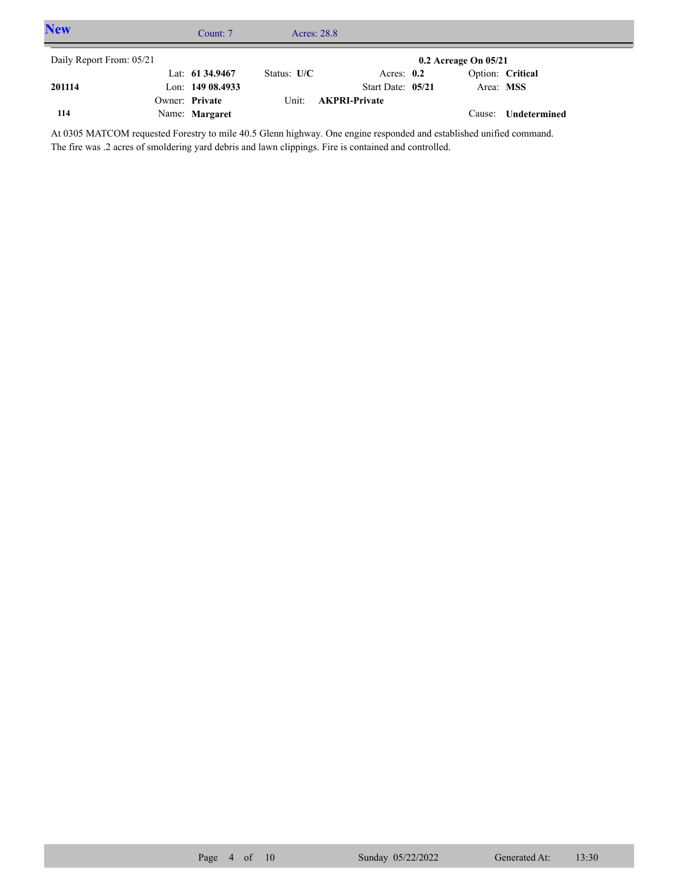| <b>New</b>               | Count: 7         |               | Acres: 28.8          |                          |                  |  |
|--------------------------|------------------|---------------|----------------------|--------------------------|------------------|--|
| Daily Report From: 05/21 |                  |               |                      | $0.2$ Acreage On $05/21$ |                  |  |
|                          | Lat: 61 34.9467  | Status: $U/C$ | Acres: $0.2$         |                          | Option: Critical |  |
| 201114                   | Lon: 149 08.4933 |               | Start Date: 05/21    | Area: MSS                |                  |  |
|                          | Owner: Private   | Unit:         | <b>AKPRI-Private</b> |                          |                  |  |
| 114                      | Name: Margaret   |               |                      | Cause:                   | Undetermined     |  |

At 0305 MATCOM requested Forestry to mile 40.5 Glenn highway. One engine responded and established unified command. The fire was .2 acres of smoldering yard debris and lawn clippings. Fire is contained and controlled.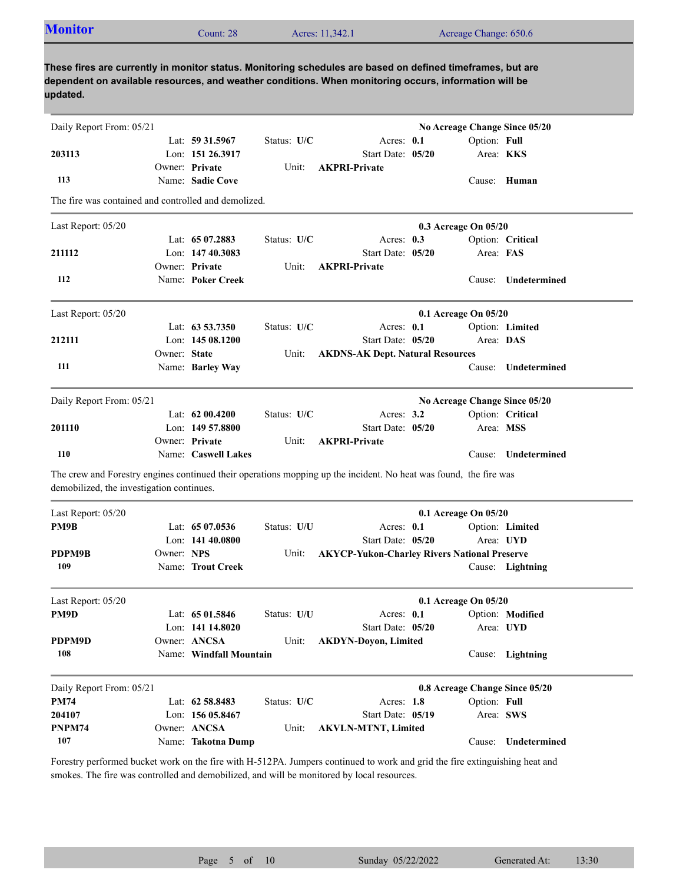| <b>Monitor</b>                                                                                                                                                 |              | Count: 28               |             | Acres: 11,342.1                                     |                   | Acreage Change: 650.6          |                     |
|----------------------------------------------------------------------------------------------------------------------------------------------------------------|--------------|-------------------------|-------------|-----------------------------------------------------|-------------------|--------------------------------|---------------------|
| These fires are currently in monitor status. Monitoring schedules are based on defined timeframes, but are                                                     |              |                         |             |                                                     |                   |                                |                     |
| dependent on available resources, and weather conditions. When monitoring occurs, information will be<br>updated.                                              |              |                         |             |                                                     |                   |                                |                     |
| Daily Report From: 05/21                                                                                                                                       |              |                         |             |                                                     |                   | No Acreage Change Since 05/20  |                     |
|                                                                                                                                                                |              | Lat: 59 31.5967         | Status: U/C |                                                     | Acres: $0.1$      | Option: Full                   |                     |
| 203113                                                                                                                                                         |              | Lon: 151 26.3917        |             |                                                     | Start Date: 05/20 |                                | Area: KKS           |
|                                                                                                                                                                |              | Owner: Private          | Unit:       | <b>AKPRI-Private</b>                                |                   |                                |                     |
| 113                                                                                                                                                            |              | Name: Sadie Cove        |             |                                                     |                   |                                | Cause: Human        |
| The fire was contained and controlled and demolized.                                                                                                           |              |                         |             |                                                     |                   |                                |                     |
| Last Report: 05/20                                                                                                                                             |              |                         |             |                                                     |                   | 0.3 Acreage On 05/20           |                     |
|                                                                                                                                                                |              | Lat: 65 07.2883         | Status: U/C |                                                     | Acres: $0.3$      |                                | Option: Critical    |
| 211112                                                                                                                                                         |              | Lon: 147 40.3083        |             |                                                     | Start Date: 05/20 | Area: FAS                      |                     |
|                                                                                                                                                                |              | Owner: Private          | Unit:       | <b>AKPRI-Private</b>                                |                   |                                |                     |
| 112                                                                                                                                                            |              | Name: Poker Creek       |             |                                                     |                   |                                | Cause: Undetermined |
| Last Report: 05/20                                                                                                                                             |              |                         |             |                                                     |                   | 0.1 Acreage On 05/20           |                     |
|                                                                                                                                                                |              | Lat: $63\,53.7350$      | Status: U/C |                                                     | Acres: $0.1$      |                                | Option: Limited     |
| 212111                                                                                                                                                         |              | Lon: 145 08.1200        |             |                                                     | Start Date: 05/20 | Area: DAS                      |                     |
|                                                                                                                                                                | Owner: State |                         | Unit:       | <b>AKDNS-AK Dept. Natural Resources</b>             |                   |                                |                     |
| 111                                                                                                                                                            |              | Name: Barley Way        |             |                                                     |                   | Cause:                         | Undetermined        |
| Daily Report From: 05/21                                                                                                                                       |              |                         |             |                                                     |                   | No Acreage Change Since 05/20  |                     |
|                                                                                                                                                                |              | Lat: $6200.4200$        | Status: U/C |                                                     | Acres: $3.2$      |                                | Option: Critical    |
| 201110                                                                                                                                                         |              | Lon: $14957.8800$       |             |                                                     | Start Date: 05/20 |                                | Area: MSS           |
|                                                                                                                                                                |              | Owner: Private          | Unit:       | <b>AKPRI-Private</b>                                |                   |                                |                     |
| 110                                                                                                                                                            |              | Name: Caswell Lakes     |             |                                                     |                   |                                | Cause: Undetermined |
|                                                                                                                                                                |              |                         |             |                                                     |                   |                                |                     |
| The crew and Forestry engines continued their operations mopping up the incident. No heat was found, the fire was<br>demobilized, the investigation continues. |              |                         |             |                                                     |                   |                                |                     |
| Last Report: 05/20                                                                                                                                             |              |                         |             |                                                     |                   | 0.1 Acreage On 05/20           |                     |
| PM9B                                                                                                                                                           |              | Lat: 65 07.0536         | Status: U/U |                                                     | Acres: 0.1        |                                | Option: Limited     |
|                                                                                                                                                                |              | Lon: 141 40.0800        |             |                                                     | Start Date: 05/20 |                                | Area: UYD           |
| PDPM9B                                                                                                                                                         | Owner: NPS   |                         | Unit:       | <b>AKYCP-Yukon-Charley Rivers National Preserve</b> |                   |                                |                     |
| 109                                                                                                                                                            |              | Name: Trout Creek       |             |                                                     |                   |                                | Cause: Lightning    |
| Last Report: 05/20                                                                                                                                             |              |                         |             |                                                     |                   | 0.1 Acreage On 05/20           |                     |
| PM9D                                                                                                                                                           |              | Lat: 65 01.5846         | Status: U/U |                                                     | Acres: 0.1        |                                | Option: Modified    |
|                                                                                                                                                                |              | Lon: 141 14.8020        |             |                                                     | Start Date: 05/20 |                                | Area: UYD           |
| PDPM9D                                                                                                                                                         |              | Owner: ANCSA            | Unit:       | <b>AKDYN-Doyon, Limited</b>                         |                   |                                |                     |
| 108                                                                                                                                                            |              | Name: Windfall Mountain |             |                                                     |                   |                                | Cause: Lightning    |
| Daily Report From: 05/21                                                                                                                                       |              |                         |             |                                                     |                   | 0.8 Acreage Change Since 05/20 |                     |
| <b>PM74</b>                                                                                                                                                    |              | Lat: 62 58.8483         | Status: U/C |                                                     | Acres: 1.8        | Option: Full                   |                     |
| 204107                                                                                                                                                         |              | Lon: 156 05.8467        |             |                                                     | Start Date: 05/19 |                                | Area: SWS           |
|                                                                                                                                                                |              |                         |             |                                                     |                   |                                |                     |
| <b>PNPM74</b>                                                                                                                                                  | Owner: ANCSA |                         | Unit:       | <b>AKVLN-MTNT, Limited</b>                          |                   |                                |                     |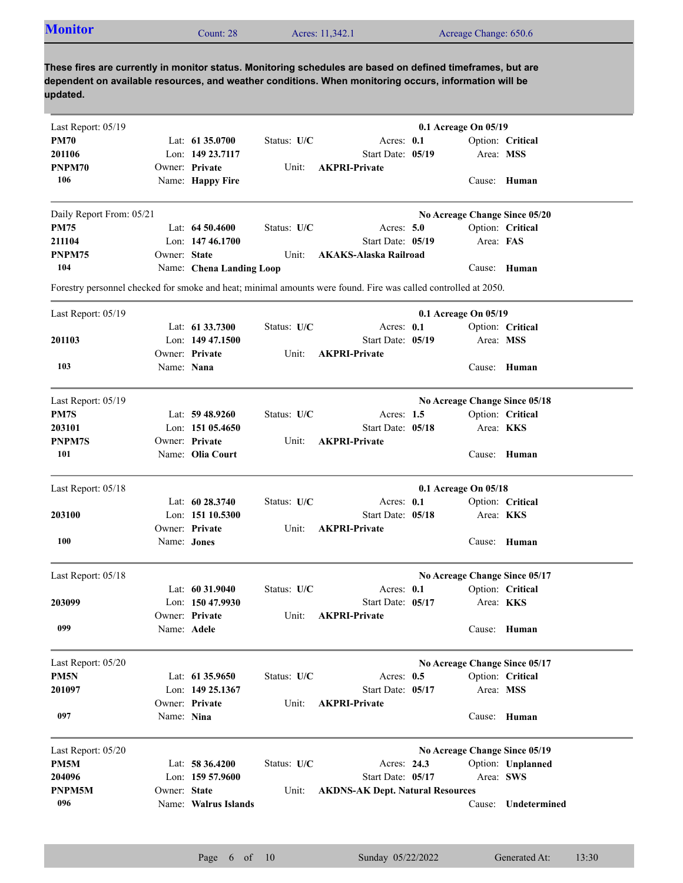| <b>Monitor</b>                                                                                                                                                                                                                  |              | Count: 28                |             | Acres: 11,342.1                                                                                                |                               | Acreage Change: 650.6 |                   |
|---------------------------------------------------------------------------------------------------------------------------------------------------------------------------------------------------------------------------------|--------------|--------------------------|-------------|----------------------------------------------------------------------------------------------------------------|-------------------------------|-----------------------|-------------------|
| These fires are currently in monitor status. Monitoring schedules are based on defined timeframes, but are<br>dependent on available resources, and weather conditions. When monitoring occurs, information will be<br>updated. |              |                          |             |                                                                                                                |                               |                       |                   |
| Last Report: 05/19                                                                                                                                                                                                              |              |                          |             |                                                                                                                | 0.1 Acreage On 05/19          |                       |                   |
| <b>PM70</b>                                                                                                                                                                                                                     |              | Lat: 61 35.0700          | Status: U/C | Acres: 0.1                                                                                                     |                               |                       | Option: Critical  |
| 201106                                                                                                                                                                                                                          |              | Lon: 149 23.7117         |             | Start Date: 05/19                                                                                              |                               | Area: MSS             |                   |
| PNPM70                                                                                                                                                                                                                          |              | Owner: Private           | Unit:       | <b>AKPRI-Private</b>                                                                                           |                               |                       |                   |
| 106                                                                                                                                                                                                                             |              | Name: Happy Fire         |             |                                                                                                                |                               |                       | Cause: Human      |
| Daily Report From: 05/21                                                                                                                                                                                                        |              |                          |             |                                                                                                                | No Acreage Change Since 05/20 |                       |                   |
| <b>PM75</b>                                                                                                                                                                                                                     |              | Lat: $64\,50.4600$       | Status: U/C | Acres: $5.0$                                                                                                   |                               |                       | Option: Critical  |
| 211104                                                                                                                                                                                                                          |              | Lon: 147 46.1700         |             | Start Date: 05/19                                                                                              |                               | Area: FAS             |                   |
| PNPM75                                                                                                                                                                                                                          | Owner: State |                          | Unit:       | AKAKS-Alaska Railroad                                                                                          |                               |                       |                   |
| 104                                                                                                                                                                                                                             |              | Name: Chena Landing Loop |             |                                                                                                                |                               |                       | Cause: Human      |
|                                                                                                                                                                                                                                 |              |                          |             | Forestry personnel checked for smoke and heat; minimal amounts were found. Fire was called controlled at 2050. |                               |                       |                   |
| Last Report: 05/19                                                                                                                                                                                                              |              |                          |             |                                                                                                                | 0.1 Acreage On 05/19          |                       |                   |
|                                                                                                                                                                                                                                 |              | Lat: 61 33.7300          | Status: U/C | Acres: 0.1                                                                                                     |                               |                       | Option: Critical  |
| 201103                                                                                                                                                                                                                          |              | Lon: $14947.1500$        |             | Start Date: 05/19                                                                                              |                               | Area: MSS             |                   |
|                                                                                                                                                                                                                                 |              | Owner: Private           | Unit:       | <b>AKPRI-Private</b>                                                                                           |                               |                       |                   |
| 103                                                                                                                                                                                                                             | Name: Nana   |                          |             |                                                                                                                |                               |                       | Cause: Human      |
| Last Report: 05/19                                                                                                                                                                                                              |              |                          |             |                                                                                                                | No Acreage Change Since 05/18 |                       |                   |
| PM7S                                                                                                                                                                                                                            |              | Lat: $59\,48.9260$       | Status: U/C | Acres: $1.5$                                                                                                   |                               |                       | Option: Critical  |
| 203101                                                                                                                                                                                                                          |              | Lon: 151 05.4650         |             | Start Date: 05/18                                                                                              |                               | Area: KKS             |                   |
| PNPM7S                                                                                                                                                                                                                          |              | Owner: Private           | Unit:       | <b>AKPRI-Private</b>                                                                                           |                               |                       |                   |
| 101                                                                                                                                                                                                                             |              | Name: Olia Court         |             |                                                                                                                |                               |                       | Cause: Human      |
|                                                                                                                                                                                                                                 |              |                          |             |                                                                                                                |                               |                       |                   |
| Last Report: 05/18                                                                                                                                                                                                              |              | Lat: 60 28.3740          |             |                                                                                                                | 0.1 Acreage On 05/18          |                       |                   |
| 203100                                                                                                                                                                                                                          |              | Lon: $15110.5300$        | Status: U/C | Acres: 0.1<br>Start Date: 05/18                                                                                |                               | Area: KKS             | Option: Critical  |
|                                                                                                                                                                                                                                 |              | Owner: Private           | Unit:       | <b>AKPRI-Private</b>                                                                                           |                               |                       |                   |
| 100                                                                                                                                                                                                                             | Name: Jones  |                          |             |                                                                                                                |                               |                       | Cause: Human      |
|                                                                                                                                                                                                                                 |              |                          |             |                                                                                                                |                               |                       |                   |
| Last Report: 05/18                                                                                                                                                                                                              |              |                          |             |                                                                                                                | No Acreage Change Since 05/17 |                       |                   |
|                                                                                                                                                                                                                                 |              | Lat: 60 31.9040          | Status: U/C | Acres: 0.1                                                                                                     |                               |                       | Option: Critical  |
| 203099                                                                                                                                                                                                                          |              | Lon: 150 47.9930         |             | Start Date: 05/17                                                                                              |                               | Area: <b>KKS</b>      |                   |
| 099                                                                                                                                                                                                                             | Name: Adele  | Owner: Private           | Unit:       | <b>AKPRI-Private</b>                                                                                           |                               |                       | Cause: Human      |
|                                                                                                                                                                                                                                 |              |                          |             |                                                                                                                |                               |                       |                   |
| Last Report: 05/20                                                                                                                                                                                                              |              |                          |             |                                                                                                                | No Acreage Change Since 05/17 |                       |                   |
| PM5N                                                                                                                                                                                                                            |              | Lat: $61\,35.9650$       | Status: U/C | Acres: $0.5$                                                                                                   |                               |                       | Option: Critical  |
| 201097                                                                                                                                                                                                                          |              | Lon: 149 25.1367         |             | Start Date: 05/17                                                                                              |                               | Area: MSS             |                   |
| 097                                                                                                                                                                                                                             | Name: Nina   | Owner: Private           | Unit:       | <b>AKPRI-Private</b>                                                                                           |                               |                       | Cause: Human      |
|                                                                                                                                                                                                                                 |              |                          |             |                                                                                                                |                               |                       |                   |
| Last Report: 05/20                                                                                                                                                                                                              |              |                          |             |                                                                                                                | No Acreage Change Since 05/19 |                       |                   |
| PM <sub>5</sub> M                                                                                                                                                                                                               |              | Lat: 58 36.4200          | Status: U/C | Acres: 24.3                                                                                                    |                               |                       | Option: Unplanned |
| 204096                                                                                                                                                                                                                          |              | Lon: $15957.9600$        |             | Start Date: 05/17                                                                                              |                               | Area: SWS             |                   |
| PNPM5M                                                                                                                                                                                                                          | Owner: State |                          | Unit:       | <b>AKDNS-AK Dept. Natural Resources</b>                                                                        |                               |                       |                   |
| 096                                                                                                                                                                                                                             |              | Name: Walrus Islands     |             |                                                                                                                |                               | Cause:                | Undetermined      |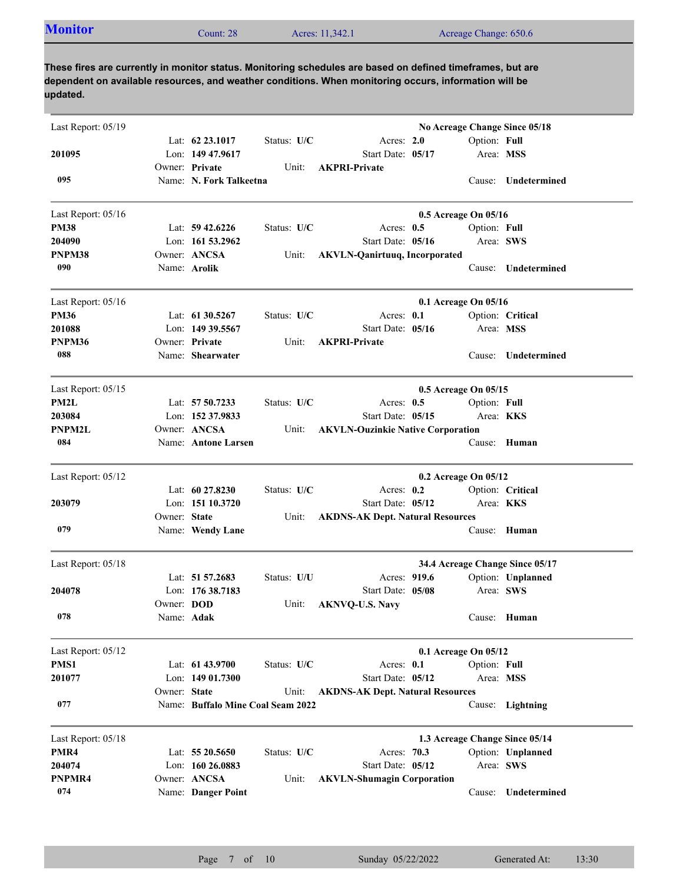| <b>Monitor</b><br>Acres: 11,342.1<br>Acreage Change: 650.6<br>Count: $282$ |  |
|----------------------------------------------------------------------------|--|
|----------------------------------------------------------------------------|--|

**These fires are currently in monitor status. Monitoring schedules are based on defined timeframes, but are dependent on available resources, and weather conditions. When monitoring occurs, information will be updated.**

| Last Report: 05/19 |              |                                   |             |                                          |                      |              | No Acreage Change Since 05/18   |
|--------------------|--------------|-----------------------------------|-------------|------------------------------------------|----------------------|--------------|---------------------------------|
|                    |              | Lat: $62\,23.1017$                | Status: U/C | Acres: 2.0                               |                      | Option: Full |                                 |
| 201095             |              | Lon: 149 47.9617                  |             | Start Date: 05/17                        |                      | Area: MSS    |                                 |
|                    |              | Owner: Private                    | Unit:       | <b>AKPRI-Private</b>                     |                      |              |                                 |
| 095                |              | Name: N. Fork Talkeetna           |             |                                          |                      |              | Cause: Undetermined             |
| Last Report: 05/16 |              |                                   |             |                                          | 0.5 Acreage On 05/16 |              |                                 |
| <b>PM38</b>        |              | Lat: $59\,42.6226$                | Status: U/C | Acres: $0.5$                             |                      | Option: Full |                                 |
| 204090             |              | Lon: 161 53.2962                  |             | Start Date: 05/16                        |                      | Area: SWS    |                                 |
| PNPM38             |              | Owner: ANCSA                      | Unit:       | <b>AKVLN-Qanirtuuq, Incorporated</b>     |                      |              |                                 |
| 090                |              | Name: Arolik                      |             |                                          |                      | Cause:       | Undetermined                    |
| Last Report: 05/16 |              |                                   |             |                                          | 0.1 Acreage On 05/16 |              |                                 |
| <b>PM36</b>        |              | Lat: 61 30.5267                   | Status: U/C | Acres: 0.1                               |                      |              | Option: Critical                |
| 201088             |              | Lon: 149 39.5567                  |             | Start Date: 05/16                        |                      | Area: MSS    |                                 |
| PNPM36             |              | Owner: Private                    | Unit:       | <b>AKPRI-Private</b>                     |                      |              |                                 |
| 088                |              | Name: Shearwater                  |             |                                          |                      | Cause:       | Undetermined                    |
| Last Report: 05/15 |              |                                   |             |                                          | 0.5 Acreage On 05/15 |              |                                 |
| PM2L               |              | Lat: $5750.7233$                  | Status: U/C | Acres: $0.5$                             |                      | Option: Full |                                 |
| 203084             |              | Lon: 152 37.9833                  |             | Start Date: 05/15                        |                      | Area: KKS    |                                 |
| <b>PNPM2L</b>      |              | Owner: ANCSA                      | Unit:       | <b>AKVLN-Ouzinkie Native Corporation</b> |                      |              |                                 |
| 084                |              | Name: Antone Larsen               |             |                                          |                      | Cause:       | Human                           |
| Last Report: 05/12 |              |                                   |             |                                          | 0.2 Acreage On 05/12 |              |                                 |
|                    |              | Lat: $60\,27.8230$                | Status: U/C | Acres: $0.2$                             |                      |              | Option: Critical                |
| 203079             |              | Lon: $15110.3720$                 |             | Start Date: 05/12                        |                      | Area: KKS    |                                 |
|                    | Owner: State |                                   | Unit:       | <b>AKDNS-AK Dept. Natural Resources</b>  |                      |              |                                 |
| 079                |              | Name: Wendy Lane                  |             |                                          |                      | Cause:       | Human                           |
| Last Report: 05/18 |              |                                   |             |                                          |                      |              | 34.4 Acreage Change Since 05/17 |
|                    |              | Lat: 51 57.2683                   | Status: U/U | Acres: 919.6                             |                      |              | Option: Unplanned               |
| 204078             |              | Lon: 176 38.7183                  |             | Start Date: 05/08                        |                      | Area: SWS    |                                 |
|                    | Owner: DOD   |                                   | Unit:       | <b>AKNVQ-U.S. Navy</b>                   |                      |              |                                 |
| 078                | Name: Adak   |                                   |             |                                          |                      |              | Cause: Human                    |
| Last Report: 05/12 |              |                                   |             |                                          | 0.1 Acreage On 05/12 |              |                                 |
| PMS1               |              | Lat: 61 43.9700                   | Status: U/C | Acres: 0.1                               |                      | Option: Full |                                 |
| 201077             |              | Lon: 149 01.7300                  |             | Start Date: 05/12                        |                      | Area: MSS    |                                 |
|                    | Owner: State |                                   | Unit:       | <b>AKDNS-AK Dept. Natural Resources</b>  |                      |              |                                 |
| 077                |              | Name: Buffalo Mine Coal Seam 2022 |             |                                          |                      |              | Cause: Lightning                |
| Last Report: 05/18 |              |                                   |             |                                          |                      |              | 1.3 Acreage Change Since 05/14  |
| PMR4               |              | Lat: 55 20.5650                   | Status: U/C | Acres: 70.3                              |                      |              | Option: Unplanned               |
| 204074             |              | Lon: 160 26.0883                  |             | Start Date: 05/12                        |                      | Area: SWS    |                                 |
| PNPMR4             |              | Owner: ANCSA                      | Unit:       | <b>AKVLN-Shumagin Corporation</b>        |                      |              |                                 |
| 074                |              | Name: Danger Point                |             |                                          |                      | Cause:       | Undetermined                    |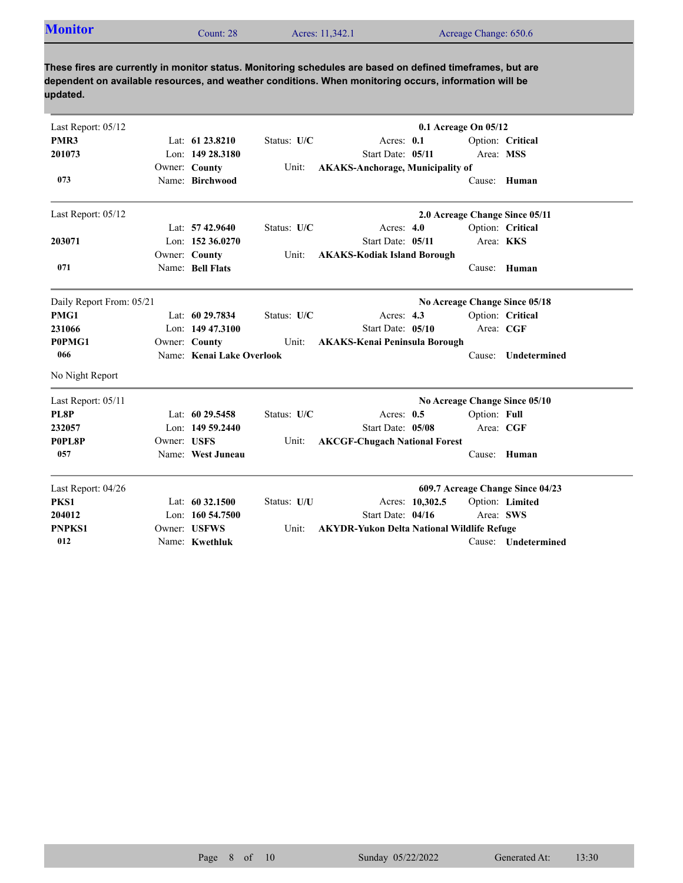**These fires are currently in monitor status. Monitoring schedules are based on defined timeframes, but are dependent on available resources, and weather conditions. When monitoring occurs, information will be updated.**

| Last Report: 05/12       | $0.1$ Acreage On $05/12$ |                           |             |                                                   |                 |              |                                  |
|--------------------------|--------------------------|---------------------------|-------------|---------------------------------------------------|-----------------|--------------|----------------------------------|
| PMR3                     |                          | Lat: 61 23.8210           | Status: U/C | Acres: 0.1                                        |                 |              | Option: Critical                 |
| 201073                   |                          | Lon: 149 28.3180          |             | Start Date: 05/11                                 |                 | Area: MSS    |                                  |
|                          |                          | Owner: County             | Unit:       | <b>AKAKS-Anchorage, Municipality of</b>           |                 |              |                                  |
| 073                      |                          | Name: Birchwood           |             |                                                   |                 | Cause:       | Human                            |
| Last Report: 05/12       |                          |                           |             |                                                   |                 |              | 2.0 Acreage Change Since 05/11   |
|                          |                          | Lat: $57\,42.9640$        | Status: U/C | Acres: $4.0$                                      |                 |              | Option: Critical                 |
| 203071                   |                          | Lon: 152 36,0270          |             | Start Date: 05/11                                 |                 | Area: KKS    |                                  |
|                          |                          | Owner: County             | Unit:       | <b>AKAKS-Kodiak Island Borough</b>                |                 |              |                                  |
| 071                      |                          | Name: Bell Flats          |             |                                                   |                 | Cause:       | Human                            |
| Daily Report From: 05/21 |                          |                           |             |                                                   |                 |              | No Acreage Change Since 05/18    |
| PMG1                     |                          | Lat: 60 29.7834           | Status: U/C | Acres: 4.3                                        |                 |              | Option: Critical                 |
| 231066                   |                          | Lon: $14947.3100$         |             | Start Date: 05/10                                 |                 | Area: CGF    |                                  |
| P0PMG1                   |                          | Owner: County             | Unit:       | <b>AKAKS-Kenai Peninsula Borough</b>              |                 |              |                                  |
| 066                      |                          | Name: Kenai Lake Overlook |             |                                                   |                 | Cause:       | Undetermined                     |
| No Night Report          |                          |                           |             |                                                   |                 |              |                                  |
| Last Report: 05/11       |                          |                           |             |                                                   |                 |              | No Acreage Change Since 05/10    |
| <b>PL8P</b>              |                          | Lat: $6029.5458$          | Status: U/C | Acres: $0.5$                                      |                 | Option: Full |                                  |
| 232057                   |                          | Lon: 149 59.2440          |             | Start Date: 05/08                                 |                 | Area: CGF    |                                  |
| P0PL8P                   | Owner: USFS              |                           | Unit:       | <b>AKCGF-Chugach National Forest</b>              |                 |              |                                  |
| 057                      |                          | Name: West Juneau         |             |                                                   |                 | Cause:       | Human                            |
| Last Report: 04/26       |                          |                           |             |                                                   |                 |              | 609.7 Acreage Change Since 04/23 |
| PKS1                     |                          | Lat: $6032.1500$          | Status: U/U |                                                   | Acres: 10,302.5 |              | Option: Limited                  |
| 204012                   |                          | Lon: $160\,54.7500$       |             | Start Date: 04/16                                 |                 | Area: SWS    |                                  |
| <b>PNPKS1</b>            |                          | Owner: USFWS              | Unit:       | <b>AKYDR-Yukon Delta National Wildlife Refuge</b> |                 |              |                                  |
| 012                      |                          | Name: Kwethluk            |             |                                                   |                 |              | Cause: Undetermined              |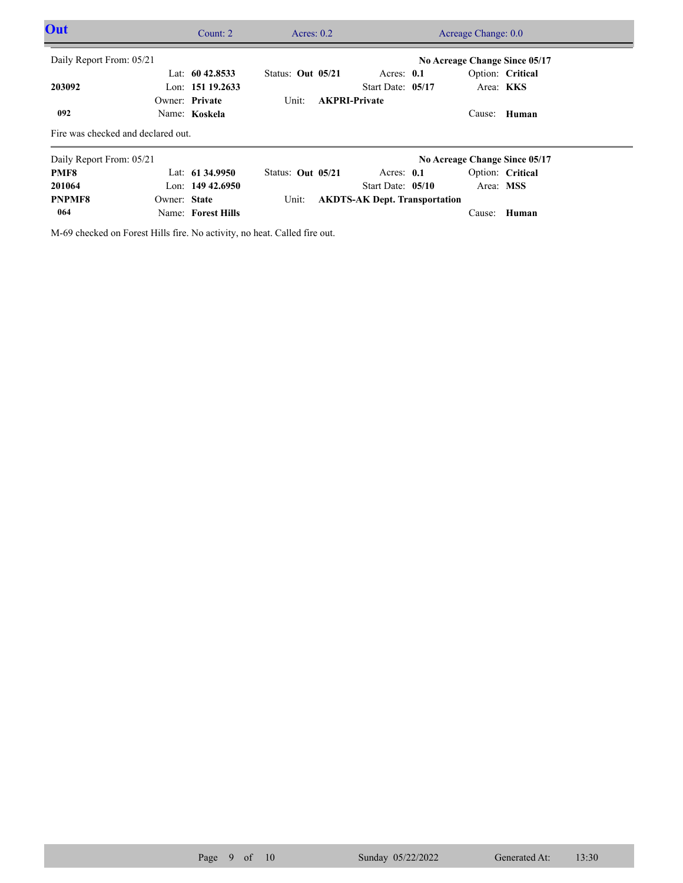| Out                                |              | Count: $2$         |                     | Acres: $0.2$ |                                      |  |           | Acreage Change: 0.0           |  |  |
|------------------------------------|--------------|--------------------|---------------------|--------------|--------------------------------------|--|-----------|-------------------------------|--|--|
| Daily Report From: 05/21           |              |                    |                     |              |                                      |  |           | No Acreage Change Since 05/17 |  |  |
|                                    |              | Lat: $60\,42.8533$ | Status: Out $05/21$ |              | Acres: $0.1$                         |  |           | Option: Critical              |  |  |
| 203092                             |              | Lon: 151 19.2633   |                     |              | Start Date: 05/17                    |  |           | Area: KKS                     |  |  |
|                                    |              | Owner: Private     | Unit:               |              | <b>AKPRI-Private</b>                 |  |           |                               |  |  |
| 092                                |              | Name: Koskela      |                     |              |                                      |  | Cause:    | Human                         |  |  |
| Fire was checked and declared out. |              |                    |                     |              |                                      |  |           |                               |  |  |
| Daily Report From: 05/21           |              |                    |                     |              |                                      |  |           | No Acreage Change Since 05/17 |  |  |
| PMF8                               |              | Lat: $61\,34.9950$ | Status: Out 05/21   |              | Acres: $0.1$                         |  |           | Option: Critical              |  |  |
| 201064                             |              | Lon: $14942.6950$  |                     |              | Start Date: 05/10                    |  | Area: MSS |                               |  |  |
| <b>PNPMF8</b>                      | Owner: State |                    | Unit:               |              | <b>AKDTS-AK Dept. Transportation</b> |  |           |                               |  |  |
| 064                                |              | Name: Forest Hills |                     |              |                                      |  |           | Cause: Human                  |  |  |

M-69 checked on Forest Hills fire. No activity, no heat. Called fire out.